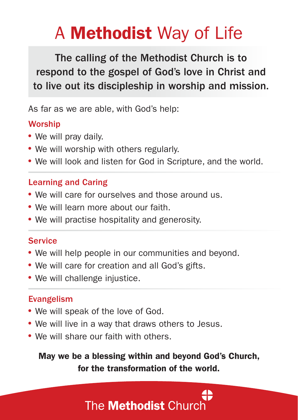## A Methodist Way of Life

The calling of the Methodist Church is to respond to the gospel of God's love in Christ and to live out its discipleship in worship and mission.

As far as we are able, with God's help:

#### **Worship**

- We will pray daily.
- We will worship with others regularly.
- We will look and listen for God in Scripture, and the world.

#### Learning and Caring

- We will care for ourselves and those around us.
- We will learn more about our faith.
- We will practise hospitality and generosity.

#### Service

- We will help people in our communities and beyond.
- We will care for creation and all God's gifts.
- We will challenge injustice.

#### Evangelism

- We will speak of the love of God.
- We will live in a way that draws others to Jesus.
- We will share our faith with others.

May we be a blessing within and beyond God's Church, for the transformation of the world.